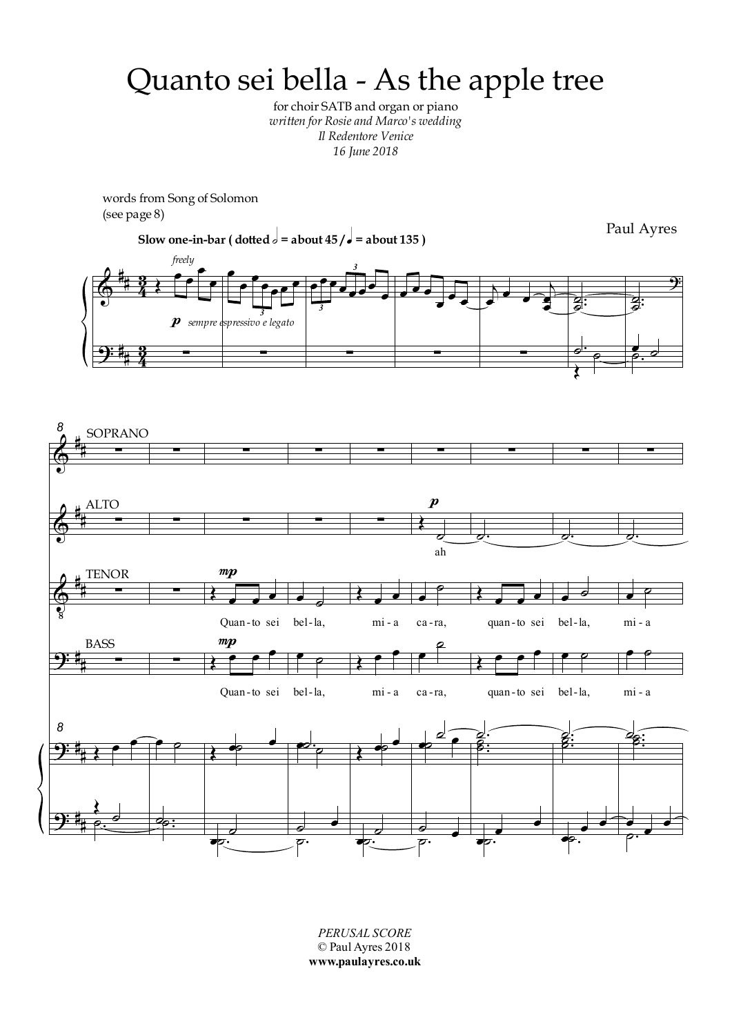## Quanto sei bella - As the apple tree

for choir SATB and organ or piano *written for Rosie and Marco's wedding Il Redentore Venice 16 June 2018*

words from Song of Solomon (see page 8)



*PERUSAL SCORE* © Paul Ayres 2018 **www.paulayres.co.uk**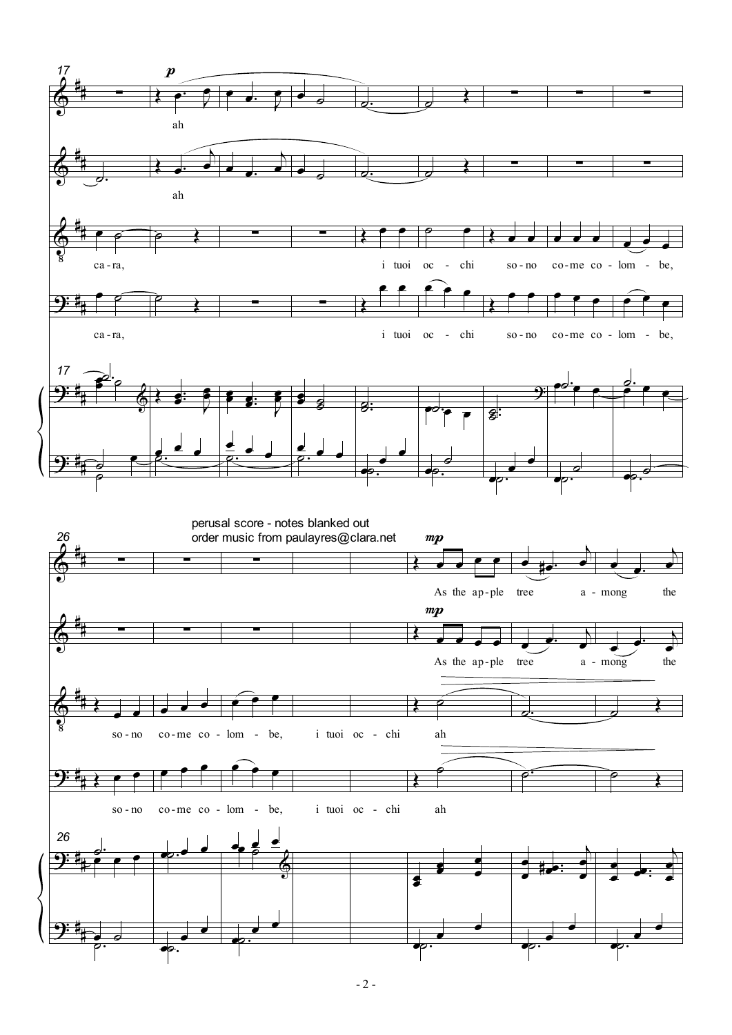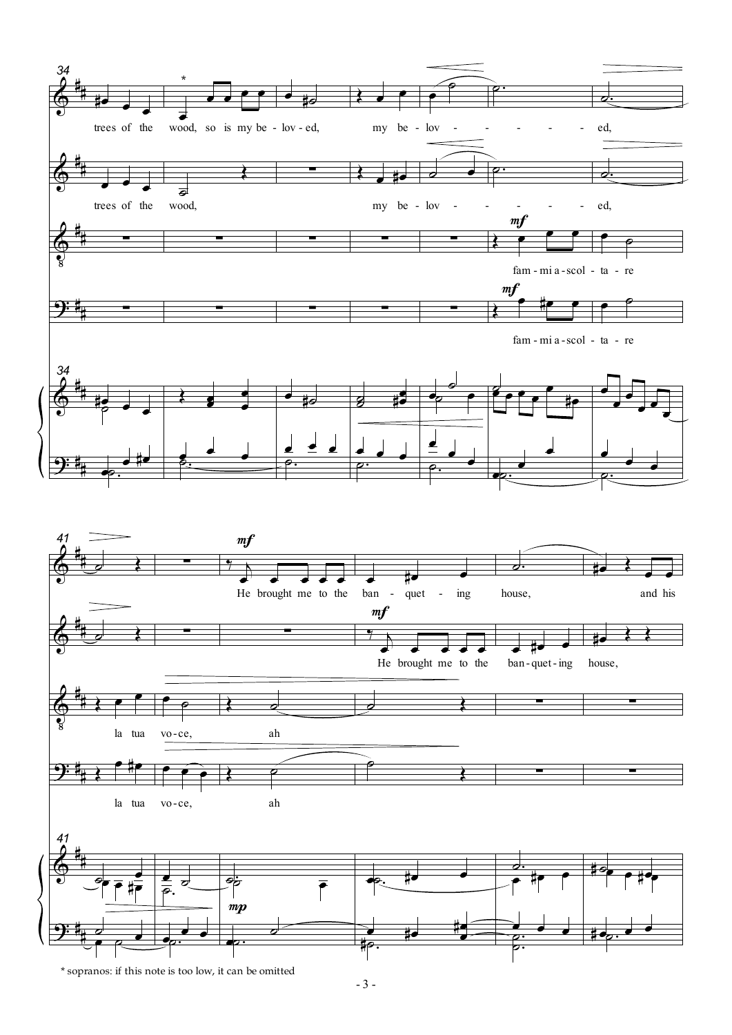

- 3 -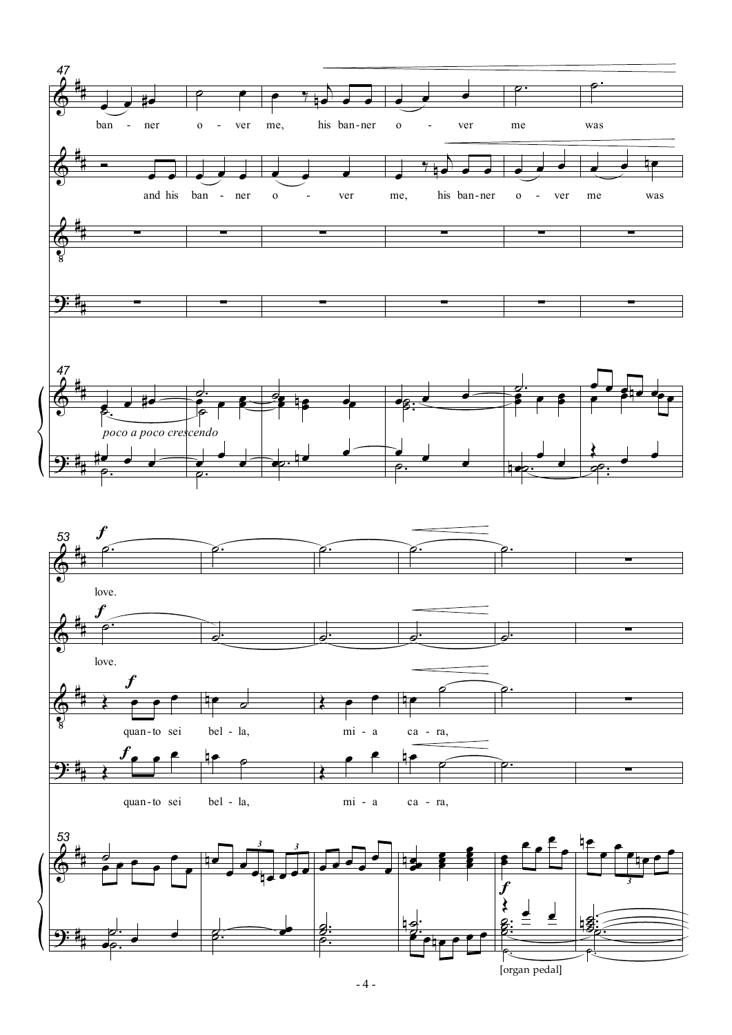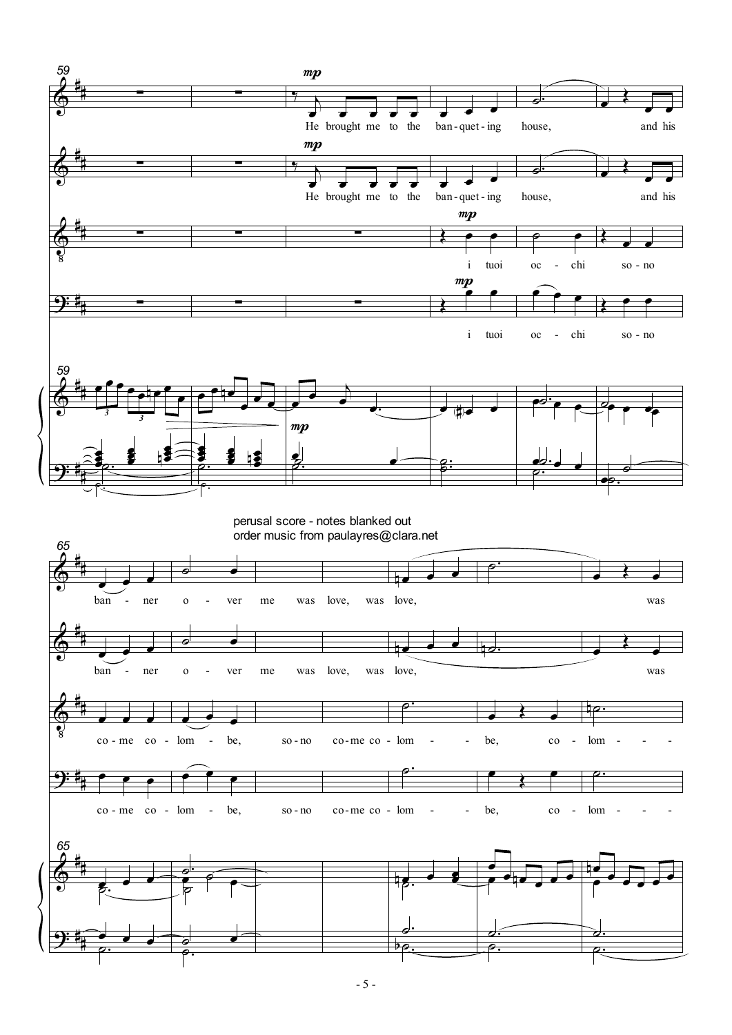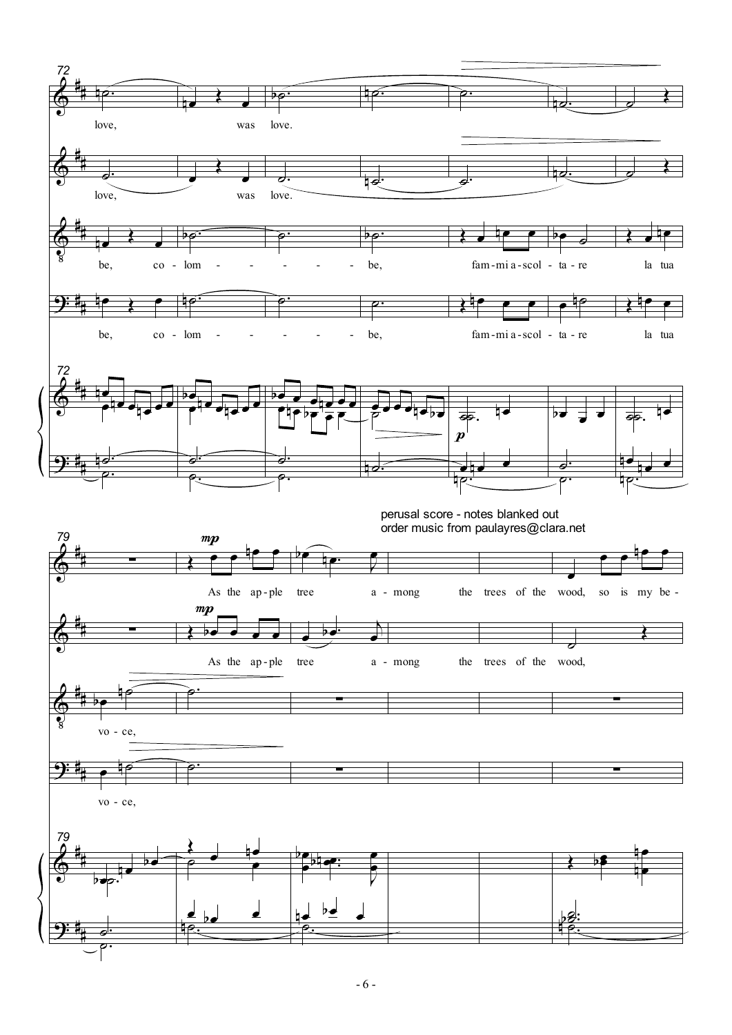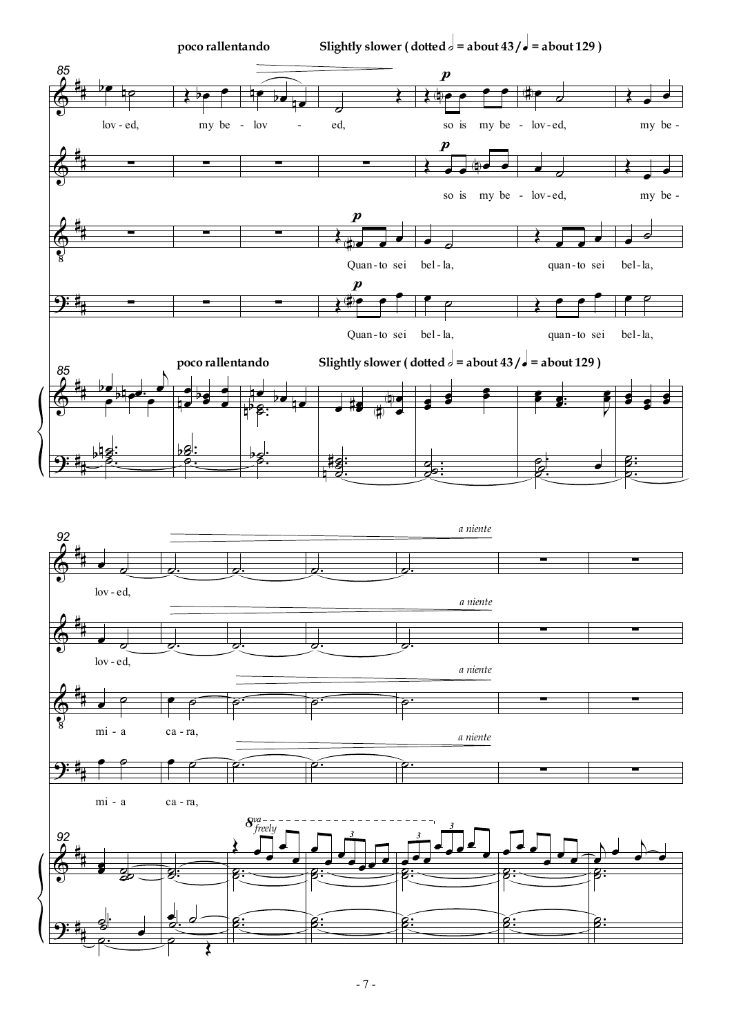